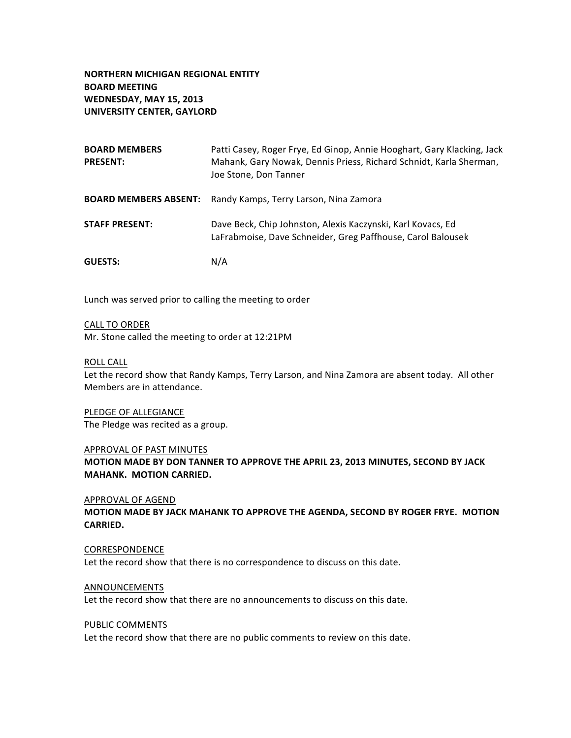**NORTHERN MICHIGAN REGIONAL ENTITY BOARD MEETING WEDNESDAY, MAY 15, 2013 UNIVERSITY CENTER, GAYLORD**

| <b>BOARD MEMBERS</b><br><b>PRESENT:</b> | Patti Casey, Roger Frye, Ed Ginop, Annie Hooghart, Gary Klacking, Jack<br>Mahank, Gary Nowak, Dennis Priess, Richard Schnidt, Karla Sherman,<br>Joe Stone, Don Tanner |
|-----------------------------------------|-----------------------------------------------------------------------------------------------------------------------------------------------------------------------|
|                                         | <b>BOARD MEMBERS ABSENT:</b> Randy Kamps, Terry Larson, Nina Zamora                                                                                                   |
| <b>STAFF PRESENT:</b>                   | Dave Beck, Chip Johnston, Alexis Kaczynski, Karl Kovacs, Ed<br>LaFrabmoise, Dave Schneider, Greg Paffhouse, Carol Balousek                                            |
| <b>GUESTS:</b>                          | N/A                                                                                                                                                                   |

Lunch was served prior to calling the meeting to order

CALL TO ORDER Mr. Stone called the meeting to order at 12:21PM

### ROLL CALL

Let the record show that Randy Kamps, Terry Larson, and Nina Zamora are absent today. All other Members are in attendance.

PLEDGE OF ALLEGIANCE The Pledge was recited as a group.

#### APPROVAL OF PAST MINUTES

**MOTION MADE BY DON TANNER TO APPROVE THE APRIL 23, 2013 MINUTES, SECOND BY JACK MAHANK. MOTION CARRIED.** 

#### APPROVAL OF AGEND

**MOTION MADE BY JACK MAHANK TO APPROVE THE AGENDA, SECOND BY ROGER FRYE. MOTION CARRIED.** 

### CORRESPONDENCE

Let the record show that there is no correspondence to discuss on this date.

#### ANNOUNCEMENTS

Let the record show that there are no announcements to discuss on this date.

#### PUBLIC COMMENTS

Let the record show that there are no public comments to review on this date.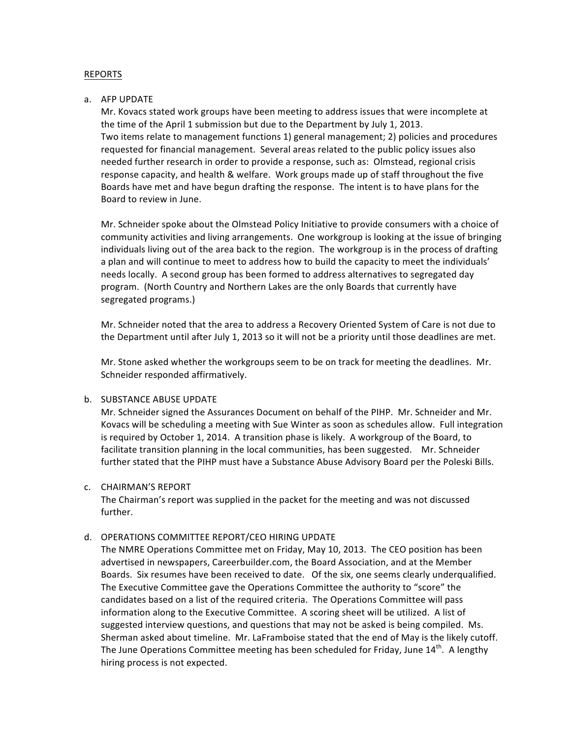## REPORTS

### a. AFP UPDATE

Mr. Kovacs stated work groups have been meeting to address issues that were incomplete at the time of the April 1 submission but due to the Department by July 1, 2013. Two items relate to management functions 1) general management; 2) policies and procedures requested for financial management. Several areas related to the public policy issues also needed further research in order to provide a response, such as: Olmstead, regional crisis response capacity, and health & welfare. Work groups made up of staff throughout the five Boards have met and have begun drafting the response. The intent is to have plans for the Board to review in June.

Mr. Schneider spoke about the Olmstead Policy Initiative to provide consumers with a choice of community activities and living arrangements. One workgroup is looking at the issue of bringing individuals living out of the area back to the region. The workgroup is in the process of drafting a plan and will continue to meet to address how to build the capacity to meet the individuals' needs locally. A second group has been formed to address alternatives to segregated day program. (North Country and Northern Lakes are the only Boards that currently have segregated programs.)

Mr. Schneider noted that the area to address a Recovery Oriented System of Care is not due to the Department until after July 1, 2013 so it will not be a priority until those deadlines are met.

Mr. Stone asked whether the workgroups seem to be on track for meeting the deadlines. Mr. Schneider responded affirmatively.

# b. SUBSTANCE ABUSE UPDATE

Mr. Schneider signed the Assurances Document on behalf of the PIHP. Mr. Schneider and Mr. Kovacs will be scheduling a meeting with Sue Winter as soon as schedules allow. Full integration is required by October 1, 2014. A transition phase is likely. A workgroup of the Board, to facilitate transition planning in the local communities, has been suggested. Mr. Schneider further stated that the PIHP must have a Substance Abuse Advisory Board per the Poleski Bills.

#### c. CHAIRMAN'S REPORT

The Chairman's report was supplied in the packet for the meeting and was not discussed further. 

### d. OPERATIONS COMMITTEE REPORT/CEO HIRING UPDATE

The NMRE Operations Committee met on Friday, May 10, 2013. The CEO position has been advertised in newspapers, Careerbuilder.com, the Board Association, and at the Member Boards. Six resumes have been received to date. Of the six, one seems clearly underqualified. The Executive Committee gave the Operations Committee the authority to "score" the candidates based on a list of the required criteria. The Operations Committee will pass information along to the Executive Committee. A scoring sheet will be utilized. A list of suggested interview questions, and questions that may not be asked is being compiled. Ms. Sherman asked about timeline. Mr. LaFramboise stated that the end of May is the likely cutoff. The June Operations Committee meeting has been scheduled for Friday, June  $14^{th}$ . A lengthy hiring process is not expected.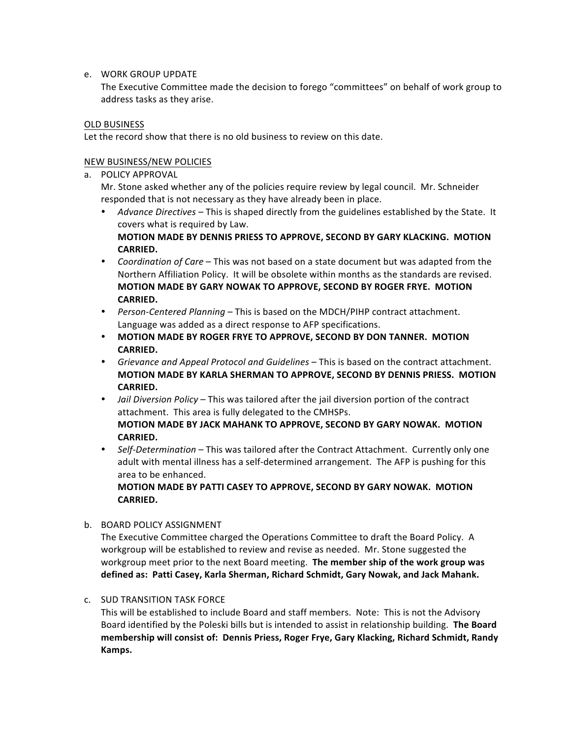# e. WORK GROUP UPDATE

The Executive Committee made the decision to forego "committees" on behalf of work group to address tasks as they arise.

# OLD BUSINESS

Let the record show that there is no old business to review on this date.

# NEW BUSINESS/NEW POLICIES

a. POLICY APPROVAL

Mr. Stone asked whether any of the policies require review by legal council. Mr. Schneider responded that is not necessary as they have already been in place.

- Advance Directives This is shaped directly from the guidelines established by the State. It covers what is required by Law. **MOTION MADE BY DENNIS PRIESS TO APPROVE, SECOND BY GARY KLACKING. MOTION**
- **CARRIED.**  • Coordination of Care – This was not based on a state document but was adapted from the Northern Affiliation Policy. It will be obsolete within months as the standards are revised. **MOTION MADE BY GARY NOWAK TO APPROVE, SECOND BY ROGER FRYE. MOTION CARRIED.**
- **•** Person-Centered Planning This is based on the MDCH/PIHP contract attachment. Language was added as a direct response to AFP specifications.
- **MOTION MADE BY ROGER FRYE TO APPROVE, SECOND BY DON TANNER. MOTION CARRIED.**
- Grievance and Appeal Protocol and Guidelines This is based on the contract attachment. **MOTION MADE BY KARLA SHERMAN TO APPROVE, SECOND BY DENNIS PRIESS. MOTION CARRIED.**
- *Jail Diversion Policy* This was tailored after the jail diversion portion of the contract attachment. This area is fully delegated to the CMHSPs. **MOTION MADE BY JACK MAHANK TO APPROVE, SECOND BY GARY NOWAK. MOTION CARRIED.**
- Self-Determination This was tailored after the Contract Attachment. Currently only one adult with mental illness has a self-determined arrangement. The AFP is pushing for this area to be enhanced.

**MOTION MADE BY PATTI CASEY TO APPROVE, SECOND BY GARY NOWAK. MOTION CARRIED.** 

b. BOARD POLICY ASSIGNMENT

The Executive Committee charged the Operations Committee to draft the Board Policy. A workgroup will be established to review and revise as needed. Mr. Stone suggested the workgroup meet prior to the next Board meeting. The member ship of the work group was **defined as: Patti Casey, Karla Sherman, Richard Schmidt, Gary Nowak, and Jack Mahank.**

# c. SUD TRANSITION TASK FORCE

This will be established to include Board and staff members. Note: This is not the Advisory Board identified by the Poleski bills but is intended to assist in relationship building. The Board **membership will consist of: Dennis Priess, Roger Frye, Gary Klacking, Richard Schmidt, Randy Kamps.**